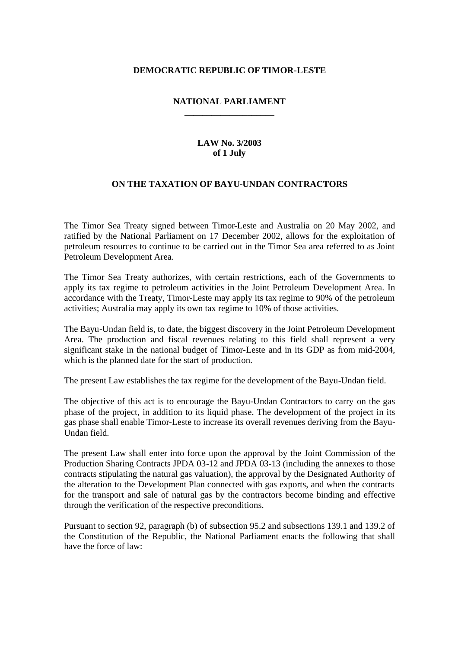### **DEMOCRATIC REPUBLIC OF TIMOR-LESTE**

#### **NATIONAL PARLIAMENT \_\_\_\_\_\_\_\_\_\_\_\_\_\_\_\_\_\_\_\_**

### **LAW No. 3/2003 of 1 July**

### **ON THE TAXATION OF BAYU-UNDAN CONTRACTORS**

The Timor Sea Treaty signed between Timor-Leste and Australia on 20 May 2002, and ratified by the National Parliament on 17 December 2002, allows for the exploitation of petroleum resources to continue to be carried out in the Timor Sea area referred to as Joint Petroleum Development Area.

The Timor Sea Treaty authorizes, with certain restrictions, each of the Governments to apply its tax regime to petroleum activities in the Joint Petroleum Development Area. In accordance with the Treaty, Timor-Leste may apply its tax regime to 90% of the petroleum activities; Australia may apply its own tax regime to 10% of those activities.

The Bayu-Undan field is, to date, the biggest discovery in the Joint Petroleum Development Area. The production and fiscal revenues relating to this field shall represent a very significant stake in the national budget of Timor-Leste and in its GDP as from mid-2004, which is the planned date for the start of production.

The present Law establishes the tax regime for the development of the Bayu-Undan field.

The objective of this act is to encourage the Bayu-Undan Contractors to carry on the gas phase of the project, in addition to its liquid phase. The development of the project in its gas phase shall enable Timor-Leste to increase its overall revenues deriving from the Bayu-Undan field.

The present Law shall enter into force upon the approval by the Joint Commission of the Production Sharing Contracts JPDA 03-12 and JPDA 03-13 (including the annexes to those contracts stipulating the natural gas valuation), the approval by the Designated Authority of the alteration to the Development Plan connected with gas exports, and when the contracts for the transport and sale of natural gas by the contractors become binding and effective through the verification of the respective preconditions.

Pursuant to section 92, paragraph (b) of subsection 95.2 and subsections 139.1 and 139.2 of the Constitution of the Republic, the National Parliament enacts the following that shall have the force of law: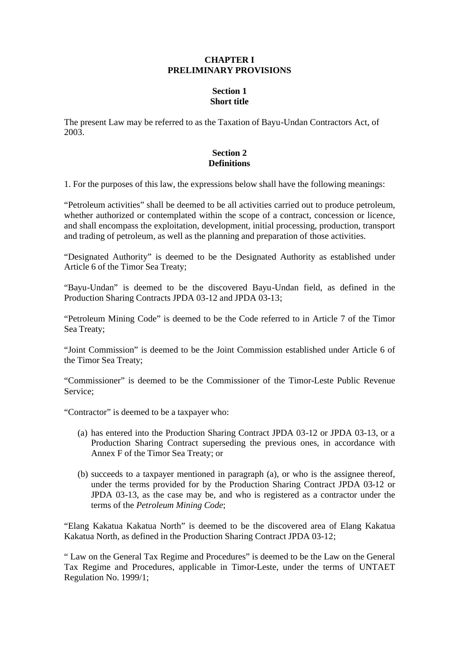#### **CHAPTER I PRELIMINARY PROVISIONS**

# **Section 1 Short title**

The present Law may be referred to as the Taxation of Bayu-Undan Contractors Act, of 2003.

## **Section 2 Definitions**

1. For the purposes of this law, the expressions below shall have the following meanings:

"Petroleum activities" shall be deemed to be all activities carried out to produce petroleum, whether authorized or contemplated within the scope of a contract, concession or licence, and shall encompass the exploitation, development, initial processing, production, transport and trading of petroleum, as well as the planning and preparation of those activities.

"Designated Authority" is deemed to be the Designated Authority as established under Article 6 of the Timor Sea Treaty;

"Bayu-Undan" is deemed to be the discovered Bayu-Undan field, as defined in the Production Sharing Contracts JPDA 03-12 and JPDA 03-13;

"Petroleum Mining Code" is deemed to be the Code referred to in Article 7 of the Timor Sea Treaty;

"Joint Commission" is deemed to be the Joint Commission established under Article 6 of the Timor Sea Treaty;

"Commissioner" is deemed to be the Commissioner of the Timor-Leste Public Revenue Service;

"Contractor" is deemed to be a taxpayer who:

- (a) has entered into the Production Sharing Contract JPDA 03-12 or JPDA 03-13, or a Production Sharing Contract superseding the previous ones, in accordance with Annex F of the Timor Sea Treaty; or
- (b) succeeds to a taxpayer mentioned in paragraph (a), or who is the assignee thereof, under the terms provided for by the Production Sharing Contract JPDA 03-12 or JPDA 03-13, as the case may be, and who is registered as a contractor under the terms of the *Petroleum Mining Code*;

"Elang Kakatua Kakatua North" is deemed to be the discovered area of Elang Kakatua Kakatua North, as defined in the Production Sharing Contract JPDA 03-12;

" Law on the General Tax Regime and Procedures" is deemed to be the Law on the General Tax Regime and Procedures, applicable in Timor-Leste, under the terms of UNTAET Regulation No. 1999/1;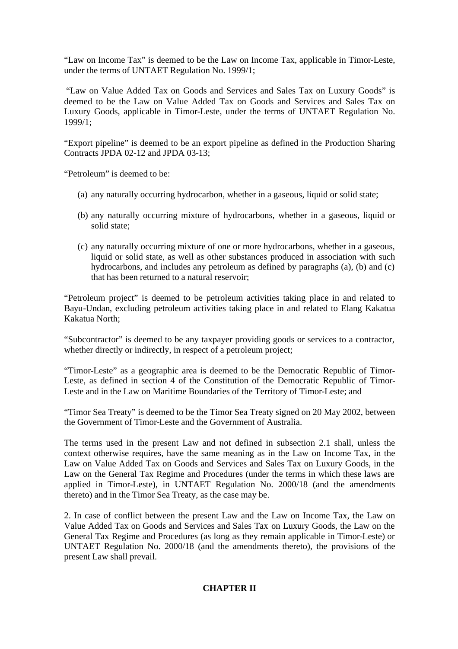"Law on Income Tax" is deemed to be the Law on Income Tax, applicable in Timor-Leste, under the terms of UNTAET Regulation No. 1999/1;

 "Law on Value Added Tax on Goods and Services and Sales Tax on Luxury Goods" is deemed to be the Law on Value Added Tax on Goods and Services and Sales Tax on Luxury Goods, applicable in Timor-Leste, under the terms of UNTAET Regulation No. 1999/1;

"Export pipeline" is deemed to be an export pipeline as defined in the Production Sharing Contracts JPDA 02-12 and JPDA 03-13;

"Petroleum" is deemed to be:

- (a) any naturally occurring hydrocarbon, whether in a gaseous, liquid or solid state;
- (b) any naturally occurring mixture of hydrocarbons, whether in a gaseous, liquid or solid state;
- (c) any naturally occurring mixture of one or more hydrocarbons, whether in a gaseous, liquid or solid state, as well as other substances produced in association with such hydrocarbons, and includes any petroleum as defined by paragraphs (a), (b) and (c) that has been returned to a natural reservoir;

"Petroleum project" is deemed to be petroleum activities taking place in and related to Bayu-Undan, excluding petroleum activities taking place in and related to Elang Kakatua Kakatua North;

"Subcontractor" is deemed to be any taxpayer providing goods or services to a contractor, whether directly or indirectly, in respect of a petroleum project;

"Timor-Leste" as a geographic area is deemed to be the Democratic Republic of Timor-Leste, as defined in section 4 of the Constitution of the Democratic Republic of Timor-Leste and in the Law on Maritime Boundaries of the Territory of Timor-Leste; and

"Timor Sea Treaty" is deemed to be the Timor Sea Treaty signed on 20 May 2002, between the Government of Timor-Leste and the Government of Australia.

The terms used in the present Law and not defined in subsection 2.1 shall, unless the context otherwise requires, have the same meaning as in the Law on Income Tax, in the Law on Value Added Tax on Goods and Services and Sales Tax on Luxury Goods, in the Law on the General Tax Regime and Procedures (under the terms in which these laws are applied in Timor-Leste), in UNTAET Regulation No. 2000/18 (and the amendments thereto) and in the Timor Sea Treaty, as the case may be.

2. In case of conflict between the present Law and the Law on Income Tax, the Law on Value Added Tax on Goods and Services and Sales Tax on Luxury Goods, the Law on the General Tax Regime and Procedures (as long as they remain applicable in Timor-Leste) or UNTAET Regulation No. 2000/18 (and the amendments thereto), the provisions of the present Law shall prevail.

# **CHAPTER II**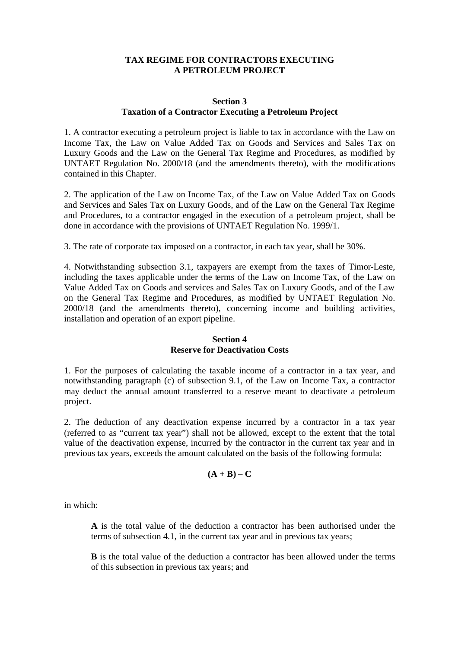#### **TAX REGIME FOR CONTRACTORS EXECUTING A PETROLEUM PROJECT**

### **Section 3 Taxation of a Contractor Executing a Petroleum Project**

1. A contractor executing a petroleum project is liable to tax in accordance with the Law on Income Tax, the Law on Value Added Tax on Goods and Services and Sales Tax on Luxury Goods and the Law on the General Tax Regime and Procedures, as modified by UNTAET Regulation No. 2000/18 (and the amendments thereto), with the modifications contained in this Chapter.

2. The application of the Law on Income Tax, of the Law on Value Added Tax on Goods and Services and Sales Tax on Luxury Goods, and of the Law on the General Tax Regime and Procedures, to a contractor engaged in the execution of a petroleum project, shall be done in accordance with the provisions of UNTAET Regulation No. 1999/1.

3. The rate of corporate tax imposed on a contractor, in each tax year, shall be 30%.

4. Notwithstanding subsection 3.1, taxpayers are exempt from the taxes of Timor-Leste, including the taxes applicable under the terms of the Law on Income Tax, of the Law on Value Added Tax on Goods and services and Sales Tax on Luxury Goods, and of the Law on the General Tax Regime and Procedures, as modified by UNTAET Regulation No. 2000/18 (and the amendments thereto), concerning income and building activities, installation and operation of an export pipeline.

#### **Section 4 Reserve for Deactivation Costs**

1. For the purposes of calculating the taxable income of a contractor in a tax year, and notwithstanding paragraph (c) of subsection 9.1, of the Law on Income Tax, a contractor may deduct the annual amount transferred to a reserve meant to deactivate a petroleum project.

2. The deduction of any deactivation expense incurred by a contractor in a tax year (referred to as "current tax year") shall not be allowed, except to the extent that the total value of the deactivation expense, incurred by the contractor in the current tax year and in previous tax years, exceeds the amount calculated on the basis of the following formula:

$$
(\mathbf{A} + \mathbf{B}) - \mathbf{C}
$$

in which:

**A** is the total value of the deduction a contractor has been authorised under the terms of subsection 4.1, in the current tax year and in previous tax years;

**B** is the total value of the deduction a contractor has been allowed under the terms of this subsection in previous tax years; and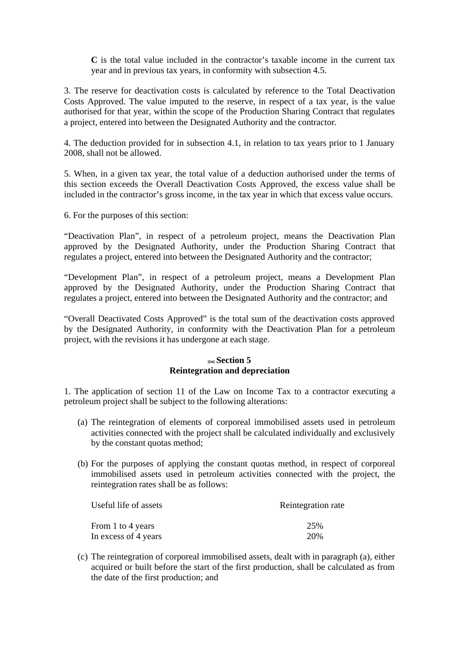**C** is the total value included in the contractor's taxable income in the current tax year and in previous tax years, in conformity with subsection 4.5.

3. The reserve for deactivation costs is calculated by reference to the Total Deactivation Costs Approved. The value imputed to the reserve, in respect of a tax year, is the value authorised for that year, within the scope of the Production Sharing Contract that regulates a project, entered into between the Designated Authority and the contractor.

4. The deduction provided for in subsection 4.1, in relation to tax years prior to 1 January 2008, shall not be allowed.

5. When, in a given tax year, the total value of a deduction authorised under the terms of this section exceeds the Overall Deactivation Costs Approved, the excess value shall be included in the contractor's gross income, in the tax year in which that excess value occurs.

6. For the purposes of this section:

"Deactivation Plan", in respect of a petroleum project, means the Deactivation Plan approved by the Designated Authority, under the Production Sharing Contract that regulates a project, entered into between the Designated Authority and the contractor;

"Development Plan", in respect of a petroleum project, means a Development Plan approved by the Designated Authority, under the Production Sharing Contract that regulates a project, entered into between the Designated Authority and the contractor; and

"Overall Deactivated Costs Approved" is the total sum of the deactivation costs approved by the Designated Authority, in conformity with the Deactivation Plan for a petroleum project, with the revisions it has undergone at each stage.

### **[D4] Section 5 Reintegration and depreciation**

1. The application of section 11 of the Law on Income Tax to a contractor executing a petroleum project shall be subject to the following alterations:

- (a) The reintegration of elements of corporeal immobilised assets used in petroleum activities connected with the project shall be calculated individually and exclusively by the constant quotas method;
- (b) For the purposes of applying the constant quotas method, in respect of corporeal immobilised assets used in petroleum activities connected with the project, the reintegration rates shall be as follows:

| Useful life of assets | Reintegration rate |
|-----------------------|--------------------|
| From 1 to 4 years     | 25%                |
| In excess of 4 years  | 20%                |

(c) The reintegration of corporeal immobilised assets, dealt with in paragraph (a), either acquired or built before the start of the first production, shall be calculated as from the date of the first production; and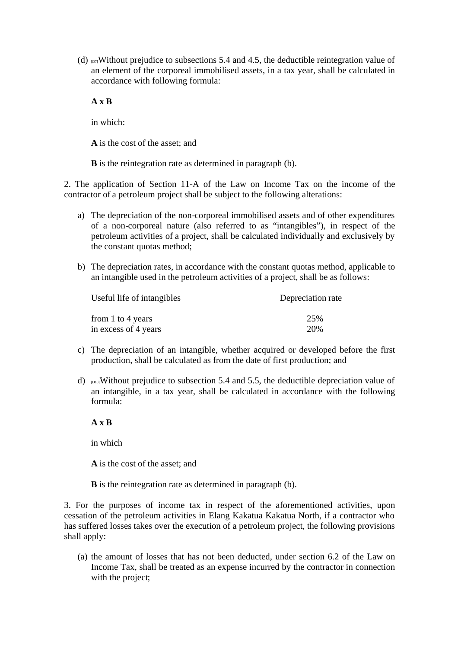(d)  $\text{D7}$ Without prejudice to subsections 5.4 and 4.5, the deductible reintegration value of an element of the corporeal immobilised assets, in a tax year, shall be calculated in accordance with following formula:

### **A x B**

in which:

**A** is the cost of the asset; and

**B** is the reintegration rate as determined in paragraph (b).

2. The application of Section 11-A of the Law on Income Tax on the income of the contractor of a petroleum project shall be subject to the following alterations:

- a) The depreciation of the non-corporeal immobilised assets and of other expenditures of a non-corporeal nature (also referred to as "intangibles"), in respect of the petroleum activities of a project, shall be calculated individually and exclusively by the constant quotas method;
- b) The depreciation rates, in accordance with the constant quotas method, applicable to an intangible used in the petroleum activities of a project, shall be as follows:

| Useful life of intangibles | Depreciation rate |
|----------------------------|-------------------|
| from 1 to 4 years          | 25%               |
| in excess of 4 years       | 20%               |

- c) The depreciation of an intangible, whether acquired or developed before the first production, shall be calculated as from the date of first production; and
- d)  $_{[D10]}$ Without prejudice to subsection 5.4 and 5.5, the deductible depreciation value of an intangible, in a tax year, shall be calculated in accordance with the following formula:

**A x B**

in which

**A** is the cost of the asset; and

**B** is the reintegration rate as determined in paragraph (b).

3. For the purposes of income tax in respect of the aforementioned activities, upon cessation of the petroleum activities in Elang Kakatua Kakatua North, if a contractor who has suffered losses takes over the execution of a petroleum project, the following provisions shall apply:

(a) the amount of losses that has not been deducted, under section 6.2 of the Law on Income Tax, shall be treated as an expense incurred by the contractor in connection with the project;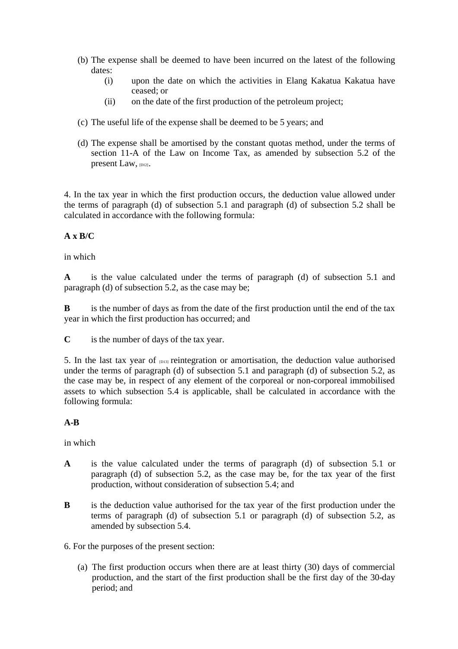- (b) The expense shall be deemed to have been incurred on the latest of the following dates:
	- (i) upon the date on which the activities in Elang Kakatua Kakatua have ceased; or
	- (ii) on the date of the first production of the petroleum project;
- (c) The useful life of the expense shall be deemed to be 5 years; and
- (d) The expense shall be amortised by the constant quotas method, under the terms of section 11-A of the Law on Income Tax, as amended by subsection 5.2 of the present Law, [D12].

4. In the tax year in which the first production occurs, the deduction value allowed under the terms of paragraph (d) of subsection 5.1 and paragraph (d) of subsection 5.2 shall be calculated in accordance with the following formula:

# **A x B/C**

# in which

**A** is the value calculated under the terms of paragraph (d) of subsection 5.1 and paragraph (d) of subsection 5.2, as the case may be;

**B** is the number of days as from the date of the first production until the end of the tax year in which the first production has occurred; and

**C** is the number of days of the tax year.

5. In the last tax year of  $_{D13}$  reintegration or amortisation, the deduction value authorised under the terms of paragraph (d) of subsection 5.1 and paragraph (d) of subsection 5.2, as the case may be, in respect of any element of the corporeal or non-corporeal immobilised assets to which subsection 5.4 is applicable, shall be calculated in accordance with the following formula:

# **A-B**

in which

- **A** is the value calculated under the terms of paragraph (d) of subsection 5.1 or paragraph (d) of subsection 5.2, as the case may be, for the tax year of the first production, without consideration of subsection 5.4; and
- **B** is the deduction value authorised for the tax year of the first production under the terms of paragraph (d) of subsection 5.1 or paragraph (d) of subsection 5.2, as amended by subsection 5.4.
- 6. For the purposes of the present section:
	- (a) The first production occurs when there are at least thirty (30) days of commercial production, and the start of the first production shall be the first day of the 30-day period; and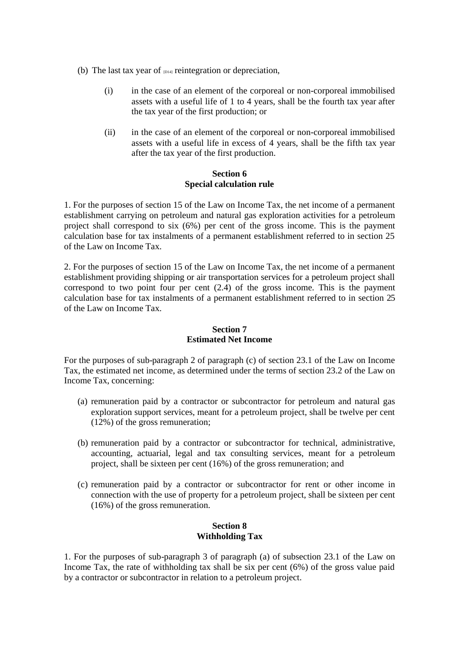- (b) The last tax year of  $p<sub>14</sub>$  reintegration or depreciation,
	- (i) in the case of an element of the corporeal or non-corporeal immobilised assets with a useful life of 1 to 4 years, shall be the fourth tax year after the tax year of the first production; or
	- (ii) in the case of an element of the corporeal or non-corporeal immobilised assets with a useful life in excess of 4 years, shall be the fifth tax year after the tax year of the first production.

## **Section 6 Special calculation rule**

1. For the purposes of section 15 of the Law on Income Tax, the net income of a permanent establishment carrying on petroleum and natural gas exploration activities for a petroleum project shall correspond to six (6%) per cent of the gross income. This is the payment calculation base for tax instalments of a permanent establishment referred to in section 25 of the Law on Income Tax.

2. For the purposes of section 15 of the Law on Income Tax, the net income of a permanent establishment providing shipping or air transportation services for a petroleum project shall correspond to two point four per cent (2.4) of the gross income. This is the payment calculation base for tax instalments of a permanent establishment referred to in section 25 of the Law on Income Tax.

# **Section 7 Estimated Net Income**

For the purposes of sub-paragraph 2 of paragraph (c) of section 23.1 of the Law on Income Tax, the estimated net income, as determined under the terms of section 23.2 of the Law on Income Tax, concerning:

- (a) remuneration paid by a contractor or subcontractor for petroleum and natural gas exploration support services, meant for a petroleum project, shall be twelve per cent (12%) of the gross remuneration;
- (b) remuneration paid by a contractor or subcontractor for technical, administrative, accounting, actuarial, legal and tax consulting services, meant for a petroleum project, shall be sixteen per cent (16%) of the gross remuneration; and
- (c) remuneration paid by a contractor or subcontractor for rent or other income in connection with the use of property for a petroleum project, shall be sixteen per cent (16%) of the gross remuneration.

# **Section 8 Withholding Tax**

1. For the purposes of sub-paragraph 3 of paragraph (a) of subsection 23.1 of the Law on Income Tax, the rate of withholding tax shall be six per cent (6%) of the gross value paid by a contractor or subcontractor in relation to a petroleum project.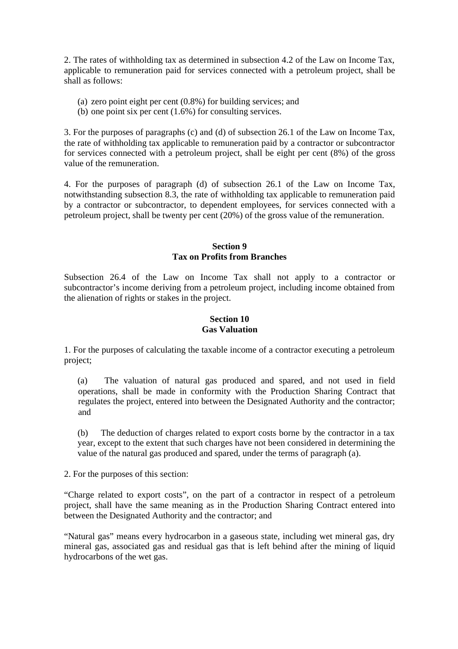2. The rates of withholding tax as determined in subsection 4.2 of the Law on Income Tax, applicable to remuneration paid for services connected with a petroleum project, shall be shall as follows:

- (a) zero point eight per cent (0.8%) for building services; and
- (b) one point six per cent (1.6%) for consulting services.

3. For the purposes of paragraphs (c) and (d) of subsection 26.1 of the Law on Income Tax, the rate of withholding tax applicable to remuneration paid by a contractor or subcontractor for services connected with a petroleum project, shall be eight per cent (8%) of the gross value of the remuneration.

4. For the purposes of paragraph (d) of subsection 26.1 of the Law on Income Tax, notwithstanding subsection 8.3, the rate of withholding tax applicable to remuneration paid by a contractor or subcontractor, to dependent employees, for services connected with a petroleum project, shall be twenty per cent (20%) of the gross value of the remuneration.

### **Section 9 Tax on Profits from Branches**

Subsection 26.4 of the Law on Income Tax shall not apply to a contractor or subcontractor's income deriving from a petroleum project, including income obtained from the alienation of rights or stakes in the project.

# **Section 10 Gas Valuation**

1. For the purposes of calculating the taxable income of a contractor executing a petroleum project;

(a) The valuation of natural gas produced and spared, and not used in field operations, shall be made in conformity with the Production Sharing Contract that regulates the project, entered into between the Designated Authority and the contractor; and

(b) The deduction of charges related to export costs borne by the contractor in a tax year, except to the extent that such charges have not been considered in determining the value of the natural gas produced and spared, under the terms of paragraph (a).

2. For the purposes of this section:

"Charge related to export costs", on the part of a contractor in respect of a petroleum project, shall have the same meaning as in the Production Sharing Contract entered into between the Designated Authority and the contractor; and

"Natural gas" means every hydrocarbon in a gaseous state, including wet mineral gas, dry mineral gas, associated gas and residual gas that is left behind after the mining of liquid hydrocarbons of the wet gas.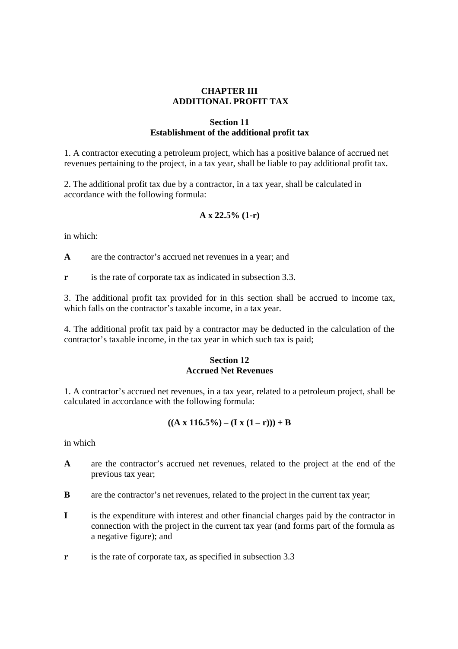# **CHAPTER III ADDITIONAL PROFIT TAX**

#### **Section 11 Establishment of the additional profit tax**

1. A contractor executing a petroleum project, which has a positive balance of accrued net revenues pertaining to the project, in a tax year, shall be liable to pay additional profit tax.

2. The additional profit tax due by a contractor, in a tax year, shall be calculated in accordance with the following formula:

# **A x 22.5% (1-r)**

in which:

**A** are the contractor's accrued net revenues in a year; and

**r** is the rate of corporate tax as indicated in subsection 3.3.

3. The additional profit tax provided for in this section shall be accrued to income tax, which falls on the contractor's taxable income, in a tax year.

4. The additional profit tax paid by a contractor may be deducted in the calculation of the contractor's taxable income, in the tax year in which such tax is paid;

## **Section 12 Accrued Net Revenues**

1. A contractor's accrued net revenues, in a tax year, related to a petroleum project, shall be calculated in accordance with the following formula:

$$
((A x 116.5\%) - (I x (1 - r))) + B
$$

in which

- **A** are the contractor's accrued net revenues, related to the project at the end of the previous tax year;
- **B** are the contractor's net revenues, related to the project in the current tax year;
- **I** is the expenditure with interest and other financial charges paid by the contractor in connection with the project in the current tax year (and forms part of the formula as a negative figure); and
- **r** is the rate of corporate tax, as specified in subsection 3.3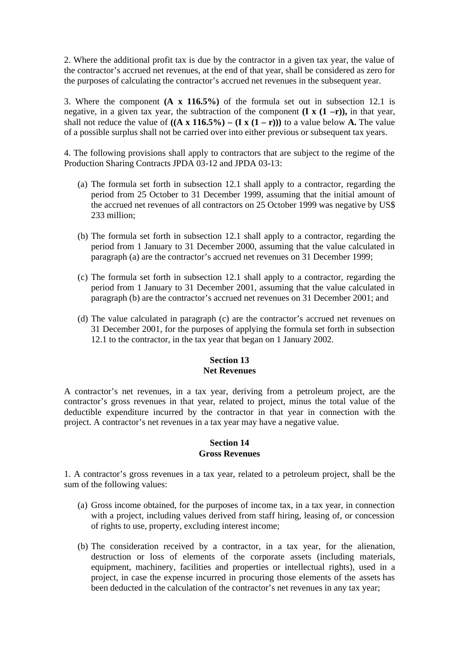2. Where the additional profit tax is due by the contractor in a given tax year, the value of the contractor's accrued net revenues, at the end of that year, shall be considered as zero for the purposes of calculating the contractor's accrued net revenues in the subsequent year.

3. Where the component **(A x 116.5%)** of the formula set out in subsection 12.1 is negative, in a given tax year, the subtraction of the component  $(I \times (1 - r))$ , in that year, shall not reduce the value of  $((A \times 116.5\%) - (I \times (1 - r)))$  to a value below **A**. The value of a possible surplus shall not be carried over into either previous or subsequent tax years.

4. The following provisions shall apply to contractors that are subject to the regime of the Production Sharing Contracts JPDA 03-12 and JPDA 03-13:

- (a) The formula set forth in subsection 12.1 shall apply to a contractor, regarding the period from 25 October to 31 December 1999, assuming that the initial amount of the accrued net revenues of all contractors on 25 October 1999 was negative by US\$ 233 million;
- (b) The formula set forth in subsection 12.1 shall apply to a contractor, regarding the period from 1 January to 31 December 2000, assuming that the value calculated in paragraph (a) are the contractor's accrued net revenues on 31 December 1999;
- (c) The formula set forth in subsection 12.1 shall apply to a contractor, regarding the period from 1 January to 31 December 2001, assuming that the value calculated in paragraph (b) are the contractor's accrued net revenues on 31 December 2001; and
- (d) The value calculated in paragraph (c) are the contractor's accrued net revenues on 31 December 2001, for the purposes of applying the formula set forth in subsection 12.1 to the contractor, in the tax year that began on 1 January 2002.

# **Section 13 Net Revenues**

A contractor's net revenues, in a tax year, deriving from a petroleum project, are the contractor's gross revenues in that year, related to project, minus the total value of the deductible expenditure incurred by the contractor in that year in connection with the project. A contractor's net revenues in a tax year may have a negative value.

#### **Section 14 Gross Revenues**

1. A contractor's gross revenues in a tax year, related to a petroleum project, shall be the sum of the following values:

- (a) Gross income obtained, for the purposes of income tax, in a tax year, in connection with a project, including values derived from staff hiring, leasing of, or concession of rights to use, property, excluding interest income;
- (b) The consideration received by a contractor, in a tax year, for the alienation, destruction or loss of elements of the corporate assets (including materials, equipment, machinery, facilities and properties or intellectual rights), used in a project, in case the expense incurred in procuring those elements of the assets has been deducted in the calculation of the contractor's net revenues in any tax year;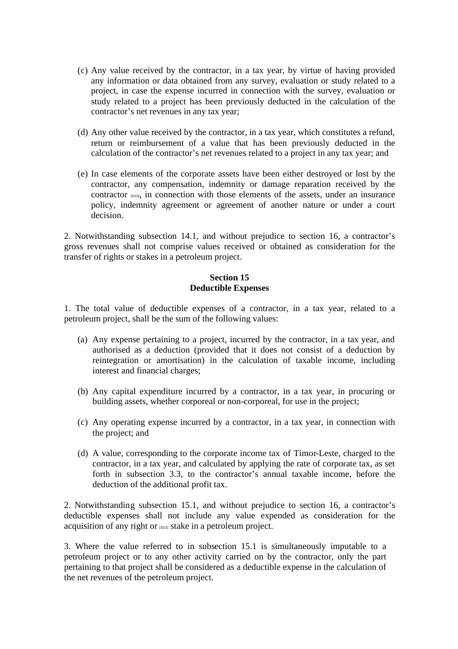- (c) Any value received by the contractor, in a tax year, by virtue of having provided any information or data obtained from any survey, evaluation or study related to a project, in case the expense incurred in connection with the survey, evaluation or study related to a project has been previously deducted in the calculation of the contractor's net revenues in any tax year;
- (d) Any other value received by the contractor, in a tax year, which constitutes a refund, return or reimbursement of a value that has been previously deducted in the calculation of the contractor's net revenues related to a project in any tax year; and
- (e) In case elements of the corporate assets have been either destroyed or lost by the contractor, any compensation, indemnity or damage reparation received by the contractor [D19], in connection with those elements of the assets, under an insurance policy, indemnity agreement or agreement of another nature or under a court decision.

2. Notwithstanding subsection 14.1, and without prejudice to section 16, a contractor's gross revenues shall not comprise values received or obtained as consideration for the transfer of rights or stakes in a petroleum project.

## **Section 15 Deductible Expenses**

1. The total value of deductible expenses of a contractor, in a tax year, related to a petroleum project, shall be the sum of the following values:

- (a) Any expense pertaining to a project, incurred by the contractor, in a tax year, and authorised as a deduction (provided that it does not consist of a deduction by reintegration or amortisation) in the calculation of taxable income, including interest and financial charges;
- (b) Any capital expenditure incurred by a contractor, in a tax year, in procuring or building assets, whether corporeal or non-corporeal, for use in the project;
- (c) Any operating expense incurred by a contractor, in a tax year, in connection with the project; and
- (d) A value, corresponding to the corporate income tax of Timor-Leste, charged to the contractor, in a tax year, and calculated by applying the rate of corporate tax, as set forth in subsection 3.3, to the contractor's annual taxable income, before the deduction of the additional profit tax.

2. Notwithstanding subsection 15.1, and without prejudice to section 16, a contractor's deductible expenses shall not include any value expended as consideration for the acquisition of any right or  $p_{23}$  stake in a petroleum project.

3. Where the value referred to in subsection 15.1 is simultaneously imputable to a petroleum project or to any other activity carried on by the contractor, only the part pertaining to that project shall be considered as a deductible expense in the calculation of the net revenues of the petroleum project.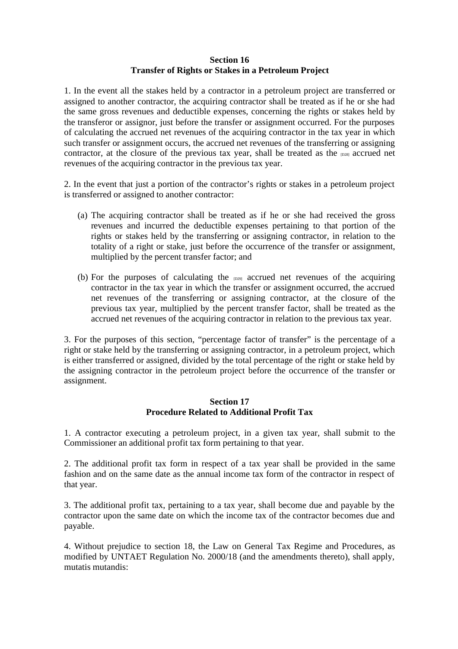#### **Section 16 Transfer of Rights or Stakes in a Petroleum Project**

1. In the event all the stakes held by a contractor in a petroleum project are transferred or assigned to another contractor, the acquiring contractor shall be treated as if he or she had the same gross revenues and deductible expenses, concerning the rights or stakes held by the transferor or assignor, just before the transfer or assignment occurred. For the purposes of calculating the accrued net revenues of the acquiring contractor in the tax year in which such transfer or assignment occurs, the accrued net revenues of the transferring or assigning contractor, at the closure of the previous tax year, shall be treated as the  $_{D28}$  accrued net revenues of the acquiring contractor in the previous tax year.

2. In the event that just a portion of the contractor's rights or stakes in a petroleum project is transferred or assigned to another contractor:

- (a) The acquiring contractor shall be treated as if he or she had received the gross revenues and incurred the deductible expenses pertaining to that portion of the rights or stakes held by the transferring or assigning contractor, in relation to the totality of a right or stake, just before the occurrence of the transfer or assignment, multiplied by the percent transfer factor; and
- (b) For the purposes of calculating the  $_{D29}$  accrued net revenues of the acquiring contractor in the tax year in which the transfer or assignment occurred, the accrued net revenues of the transferring or assigning contractor, at the closure of the previous tax year, multiplied by the percent transfer factor, shall be treated as the accrued net revenues of the acquiring contractor in relation to the previous tax year.

3. For the purposes of this section, "percentage factor of transfer" is the percentage of a right or stake held by the transferring or assigning contractor, in a petroleum project, which is either transferred or assigned, divided by the total percentage of the right or stake held by the assigning contractor in the petroleum project before the occurrence of the transfer or assignment.

### **Section 17 Procedure Related to Additional Profit Tax**

1. A contractor executing a petroleum project, in a given tax year, shall submit to the Commissioner an additional profit tax form pertaining to that year.

2. The additional profit tax form in respect of a tax year shall be provided in the same fashion and on the same date as the annual income tax form of the contractor in respect of that year.

3. The additional profit tax, pertaining to a tax year, shall become due and payable by the contractor upon the same date on which the income tax of the contractor becomes due and payable.

4. Without prejudice to section 18, the Law on General Tax Regime and Procedures, as modified by UNTAET Regulation No. 2000/18 (and the amendments thereto), shall apply, mutatis mutandis: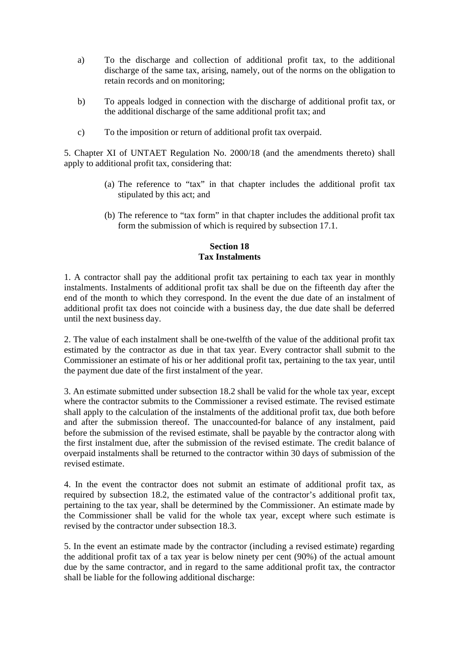- a) To the discharge and collection of additional profit tax, to the additional discharge of the same tax, arising, namely, out of the norms on the obligation to retain records and on monitoring;
- b) To appeals lodged in connection with the discharge of additional profit tax, or the additional discharge of the same additional profit tax; and
- c) To the imposition or return of additional profit tax overpaid.

5. Chapter XI of UNTAET Regulation No. 2000/18 (and the amendments thereto) shall apply to additional profit tax, considering that:

- (a) The reference to "tax" in that chapter includes the additional profit tax stipulated by this act; and
- (b) The reference to "tax form" in that chapter includes the additional profit tax form the submission of which is required by subsection 17.1.

### **Section 18 Tax Instalments**

1. A contractor shall pay the additional profit tax pertaining to each tax year in monthly instalments. Instalments of additional profit tax shall be due on the fifteenth day after the end of the month to which they correspond. In the event the due date of an instalment of additional profit tax does not coincide with a business day, the due date shall be deferred until the next business day.

2. The value of each instalment shall be one-twelfth of the value of the additional profit tax estimated by the contractor as due in that tax year. Every contractor shall submit to the Commissioner an estimate of his or her additional profit tax, pertaining to the tax year, until the payment due date of the first instalment of the year.

3. An estimate submitted under subsection 18.2 shall be valid for the whole tax year, except where the contractor submits to the Commissioner a revised estimate. The revised estimate shall apply to the calculation of the instalments of the additional profit tax, due both before and after the submission thereof. The unaccounted-for balance of any instalment, paid before the submission of the revised estimate, shall be payable by the contractor along with the first instalment due, after the submission of the revised estimate. The credit balance of overpaid instalments shall be returned to the contractor within 30 days of submission of the revised estimate.

4. In the event the contractor does not submit an estimate of additional profit tax, as required by subsection 18.2, the estimated value of the contractor's additional profit tax, pertaining to the tax year, shall be determined by the Commissioner. An estimate made by the Commissioner shall be valid for the whole tax year, except where such estimate is revised by the contractor under subsection 18.3.

5. In the event an estimate made by the contractor (including a revised estimate) regarding the additional profit tax of a tax year is below ninety per cent (90%) of the actual amount due by the same contractor, and in regard to the same additional profit tax, the contractor shall be liable for the following additional discharge: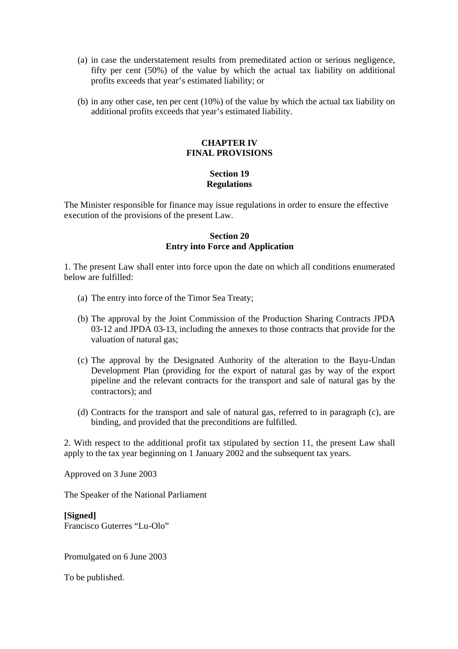- (a) in case the understatement results from premeditated action or serious negligence, fifty per cent (50%) of the value by which the actual tax liability on additional profits exceeds that year's estimated liability; or
- (b) in any other case, ten per cent (10%) of the value by which the actual tax liability on additional profits exceeds that year's estimated liability.

#### **CHAPTER IV FINAL PROVISIONS**

# **Section 19 Regulations**

The Minister responsible for finance may issue regulations in order to ensure the effective execution of the provisions of the present Law.

### **Section 20 Entry into Force and Application**

1. The present Law shall enter into force upon the date on which all conditions enumerated below are fulfilled:

- (a) The entry into force of the Timor Sea Treaty;
- (b) The approval by the Joint Commission of the Production Sharing Contracts JPDA 03-12 and JPDA 03-13, including the annexes to those contracts that provide for the valuation of natural gas;
- (c) The approval by the Designated Authority of the alteration to the Bayu-Undan Development Plan (providing for the export of natural gas by way of the export pipeline and the relevant contracts for the transport and sale of natural gas by the contractors); and
- (d) Contracts for the transport and sale of natural gas, referred to in paragraph (c), are binding, and provided that the preconditions are fulfilled.

2. With respect to the additional profit tax stipulated by section 11, the present Law shall apply to the tax year beginning on 1 January 2002 and the subsequent tax years.

Approved on 3 June 2003

The Speaker of the National Parliament

**[Signed]** Francisco Guterres "Lu-Olo"

Promulgated on 6 June 2003

To be published.